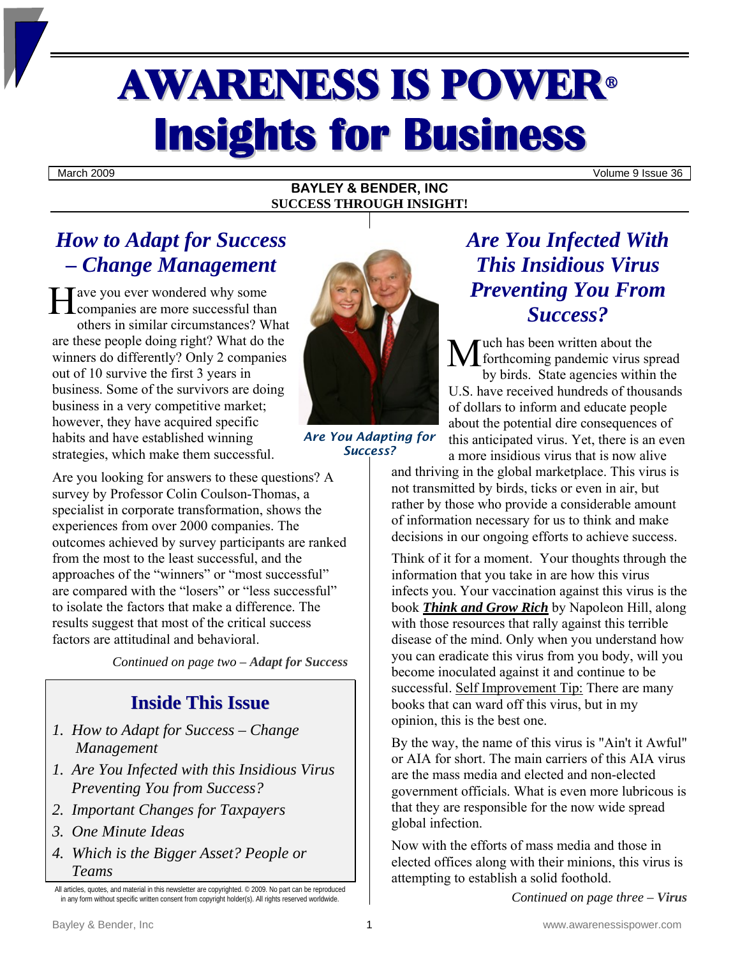# AWARENESS IS POWER<sup>ü</sup> **Insights for Business**

March 2009 Volume 9 Issue 36

#### **BAYLEY & BENDER, INC SUCCESS THROUGH INSIGHT!**

# *How to Adapt for Success – Change Management*

Tave you ever wondered why some He you ever wondered why some<br>companies are more successful than others in similar circumstances? What are these people doing right? What do the winners do differently? Only 2 companies out of 10 survive the first 3 years in business. Some of the survivors are doing business in a very competitive market; however, they have acquired specific habits and have established winning strategies, which make them successful.

Are you looking for answers to these questions? A survey by Professor Colin Coulson-Thomas, a specialist in corporate transformation, shows the experiences from over 2000 companies. The outcomes achieved by survey participants are ranked from the most to the least successful, and the approaches of the "winners" or "most successful" are compared with the "losers" or "less successful" to isolate the factors that make a difference. The results suggest that most of the critical success factors are attitudinal and behavioral.

*Continued on page two – Adapt for Success* 

### **Inside This Issue**

- *1. How to Adapt for Success Change Management*
- *1. Are You Infected with this Insidious Virus Preventing You from Success?*
- *2. Important Changes for Taxpayers*
- *3. One Minute Ideas*
- *4. Which is the Bigger Asset? People or Teams*



*Are You Adapting for Success?*

# *Are You Infected With This Insidious Virus Preventing You From Success?*

uch has been written about the Much has been written about the<br>forthcoming pandemic virus spread by birds. State agencies within the U.S. have received hundreds of thousands of dollars to inform and educate people about the potential dire consequences of this anticipated virus. Yet, there is an even a more insidious virus that is now alive

and thriving in the global marketplace. This virus is not transmitted by birds, ticks or even in air, but rather by those who provide a considerable amount of information necessary for us to think and make decisions in our ongoing efforts to achieve success.

Think of it for a moment. Your thoughts through the information that you take in are how this virus infects you. Your vaccination against this virus is the book *Think and Grow Rich* by Napoleon Hill, along with those resources that rally against this terrible disease of the mind. Only when you understand how you can eradicate this virus from you body, will you become inoculated against it and continue to be successful. Self Improvement Tip: There are many books that can ward off this virus, but in my opinion, this is the best one.

By the way, the name of this virus is "Ain't it Awful" or AIA for short. The main carriers of this AIA virus are the mass media and elected and non-elected government officials. What is even more lubricous is that they are responsible for the now wide spread global infection.

Now with the efforts of mass media and those in elected offices along with their minions, this virus is attempting to establish a solid foothold.

*Continued on page three – Virus* 

All articles, quotes, and material in this newsletter are copyrighted. © 2009. No part can be reproduced in any form without specific written consent from copyright holder(s). All rights reserved worldwide.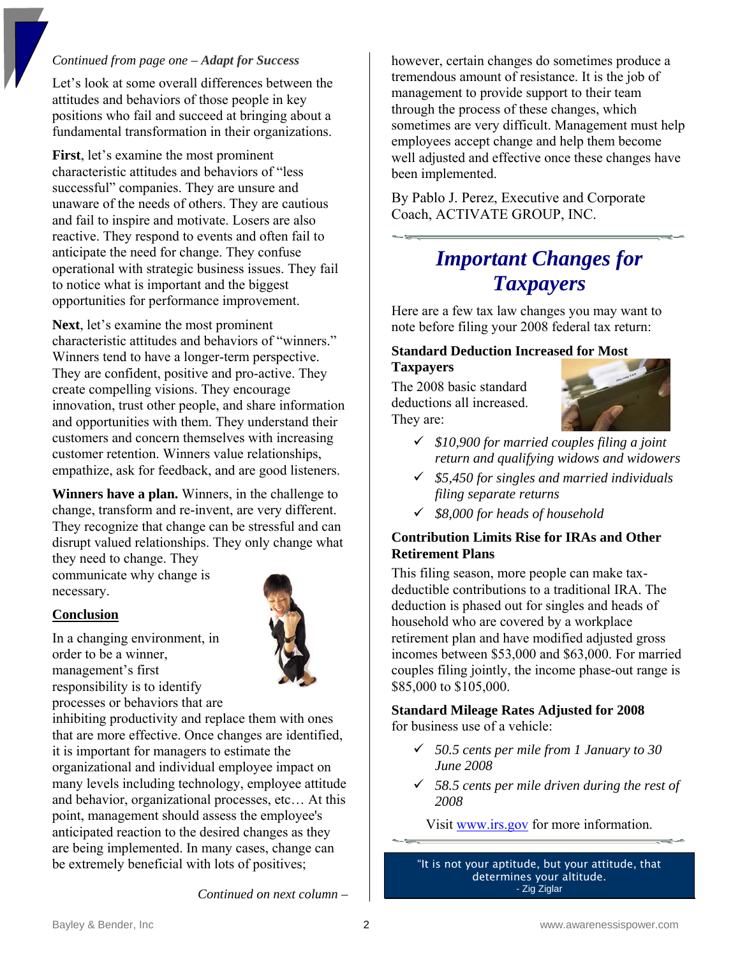### *Continued from page one – Adapt for Success*

Let's look at some overall differences between the attitudes and behaviors of those people in key positions who fail and succeed at bringing about a fundamental transformation in their organizations.

**First**, let's examine the most prominent characteristic attitudes and behaviors of "less successful" companies. They are unsure and unaware of the needs of others. They are cautious and fail to inspire and motivate. Losers are also reactive. They respond to events and often fail to anticipate the need for change. They confuse operational with strategic business issues. They fail to notice what is important and the biggest opportunities for performance improvement.

**Next**, let's examine the most prominent characteristic attitudes and behaviors of "winners." Winners tend to have a longer-term perspective. They are confident, positive and pro-active. They create compelling visions. They encourage innovation, trust other people, and share information and opportunities with them. They understand their customers and concern themselves with increasing customer retention. Winners value relationships, empathize, ask for feedback, and are good listeners.

**Winners have a plan.** Winners, in the challenge to change, transform and re-invent, are very different. They recognize that change can be stressful and can disrupt valued relationships. They only change what they need to change. They

communicate why change is necessary.

### **Conclusion**

In a changing environment, in order to be a winner, management's first responsibility is to identify processes or behaviors that are



inhibiting productivity and replace them with ones that are more effective. Once changes are identified, it is important for managers to estimate the organizational and individual employee impact on many levels including technology, employee attitude and behavior, organizational processes, etc… At this point, management should assess the employee's anticipated reaction to the desired changes as they are being implemented. In many cases, change can be extremely beneficial with lots of positives;

however, certain changes do sometimes produce a tremendous amount of resistance. It is the job of management to provide support to their team through the process of these changes, which sometimes are very difficult. Management must help employees accept change and help them become well adjusted and effective once these changes have been implemented.

By Pablo J. Perez, Executive and Corporate Coach, ACTIVATE GROUP, INC.

# *Important Changes for Taxpayers*

Here are a few tax law changes you may want to note before filing your 2008 federal tax return:

### **Standard Deduction Increased for Most Taxpayers**

The 2008 basic standard deductions all increased. They are:



- 9 *\$10,900 for married couples filing a joint return and qualifying widows and widowers*
- 9 *\$5,450 for singles and married individuals filing separate returns*
- 9 *\$8,000 for heads of household*

### **Contribution Limits Rise for IRAs and Other Retirement Plans**

This filing season, more people can make taxdeductible contributions to a traditional IRA. The deduction is phased out for singles and heads of household who are covered by a workplace retirement plan and have modified adjusted gross incomes between \$53,000 and \$63,000. For married couples filing jointly, the income phase-out range is \$85,000 to \$105,000.

### **Standard Mileage Rates Adjusted for 2008**  for business use of a vehicle:

- 9 *50.5 cents per mile from 1 January to 30 June 2008*
- 9 *58.5 cents per mile driven during the rest of 2008*

Visit [www.irs.gov](http://www.irs.gov/) for more information.

"It is not your aptitude, but your attitude, that determines your altitude. - Zig Ziglar

*Continued on next column –*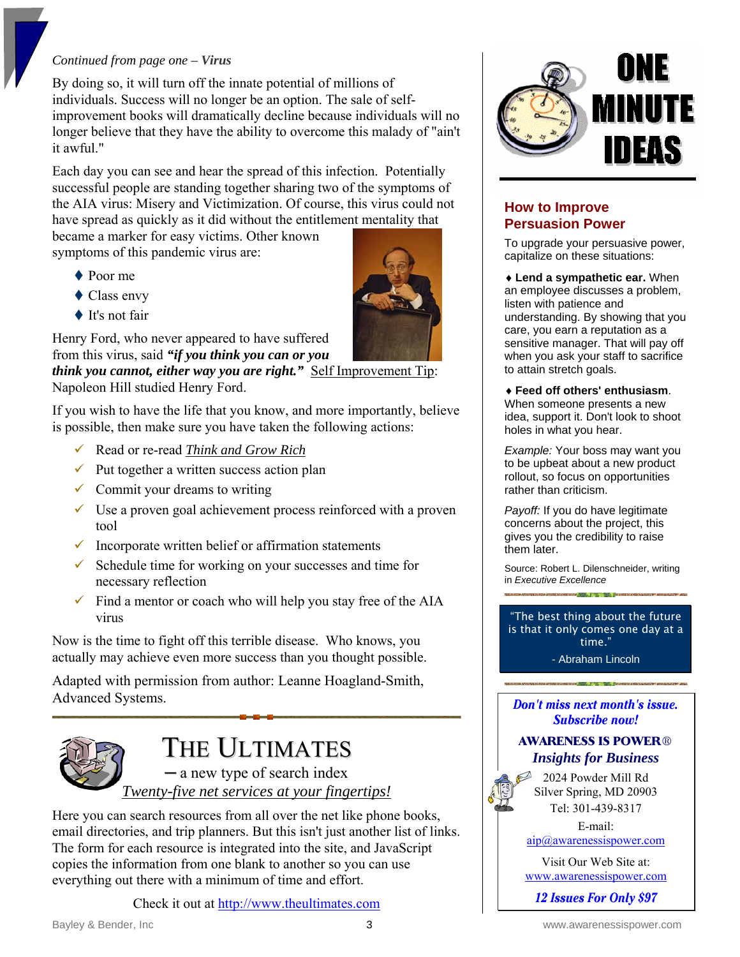### *Continued from page one – Virus*

By doing so, it will turn off the innate potential of millions of individuals. Success will no longer be an option. The sale of selfimprovement books will dramatically decline because individuals will no longer believe that they have the ability to overcome this malady of "ain't it awful."

Each day you can see and hear the spread of this infection. Potentially successful people are standing together sharing two of the symptoms of the AIA virus: Misery and Victimization. Of course, this virus could not have spread as quickly as it did without the entitlement mentality that

became a marker for easy victims. Other known symptoms of this pandemic virus are:

- ◆ Poor me
- ◆ Class envy
- ◆ It's not fair

Henry Ford, who never appeared to have suffered from this virus, said *"if you think you can or you* 

*think you cannot, either way you are right."* Self Improvement Tip: Napoleon Hill studied Henry Ford.

If you wish to have the life that you know, and more importantly, believe is possible, then make sure you have taken the following actions:

- 9 Read or re-read *Think and Grow Rich*
- $\checkmark$  Put together a written success action plan
- $\checkmark$  Commit your dreams to writing
- $\checkmark$  Use a proven goal achievement process reinforced with a proven tool
- $\checkmark$  Incorporate written belief or affirmation statements
- $\checkmark$  Schedule time for working on your successes and time for necessary reflection
- $\checkmark$  Find a mentor or coach who will help you stay free of the AIA virus

Now is the time to fight off this terrible disease. Who knows, you actually may achieve even more success than you thought possible.

Adapted with permission from author: Leanne Hoagland-Smith, Advanced Systems.



# THE ULTIMATES

─ a new type of search index *Twenty-five net services at your fingertips!*

Here you can search resources from all over the net like phone books, email directories, and trip planners. But this isn't just another list of links. The form for each resource is integrated into the site, and JavaScript copies the information from one blank to another so you can use everything out there with a minimum of time and effort.

Check it out at [http://www.theultimates.com](http://www.theultimates.com/)

### **How to Improve Persuasion Power**

To upgrade your persuasive power, capitalize on these situations:

♦ **Lend a sympathetic ear.** When an employee discusses a problem, listen with patience and understanding. By showing that you care, you earn a reputation as a sensitive manager. That will pay off when you ask your staff to sacrifice to attain stretch goals.

### ♦ **Feed off others' enthusiasm**.

When someone presents a new idea, support it. Don't look to shoot holes in what you hear.

*Example:* Your boss may want you to be upbeat about a new product rollout, so focus on opportunities rather than criticism.

*Payoff:* If you do have legitimate concerns about the project, this gives you the credibility to raise them later.

Source: Robert L. Dilenschneider, writing in *Executive Excellence* 

"The best thing about the future is that it only comes one day at a time."

- Abraham Lincoln

### Don't miss next month's issue. **Subscribe now!**

### **AWARENESS IS POWER**® *Insights for Business*



2024 Powder Mill Rd Silver Spring, MD 20903 Tel: 301-439-8317

E-mail: [aip@awarenessispower.com](mailto:aip@awarenessispower.com)

Visit Our Web Site at: [www.awarenessispower.com](http://www.awarenessispower.com/)

12 **Issues For Only \$97**